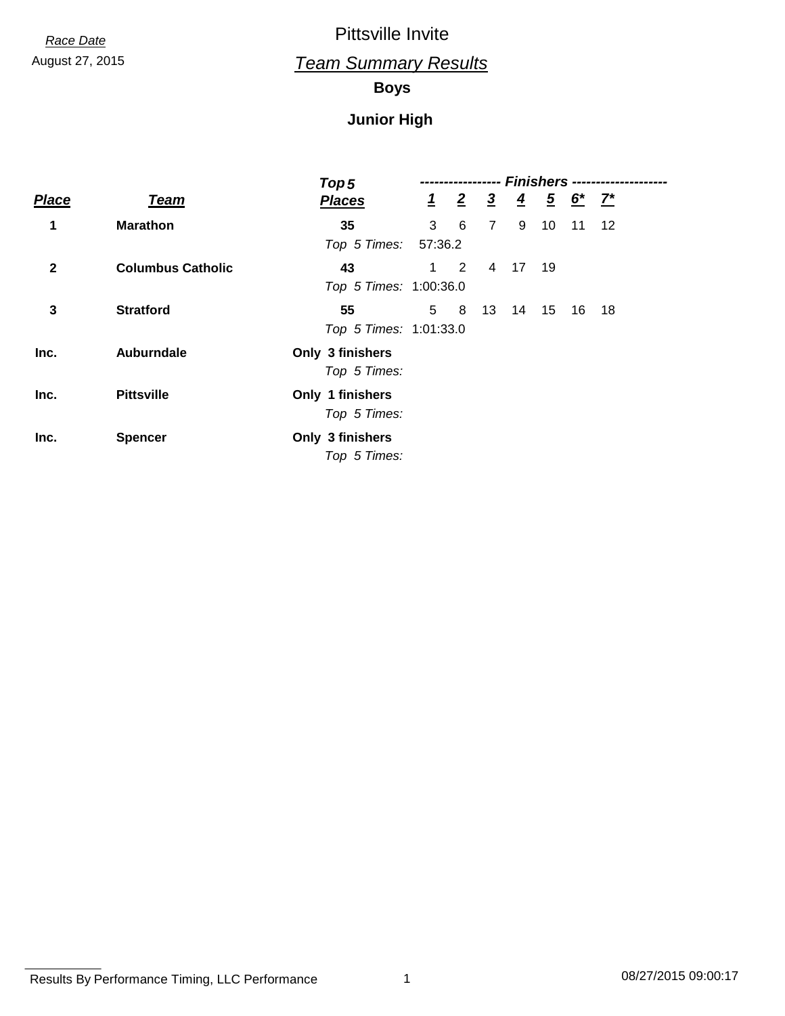August 27, 2015 *Team Summary Results*

**Boys**

|              |                          | Top 5                  | <b>Finishers ---</b><br>------------------ |                 |                |                |      |                                           |         |  |
|--------------|--------------------------|------------------------|--------------------------------------------|-----------------|----------------|----------------|------|-------------------------------------------|---------|--|
| <b>Place</b> | <b>Team</b>              | <b>Places</b>          |                                            | $\frac{1}{2}$ 2 | $\overline{3}$ | $\overline{4}$ |      | $\frac{5}{2}$ $\frac{6}{2}$ $\frac{7}{2}$ |         |  |
| 1            | <b>Marathon</b>          | 35                     | 3                                          | 6               | $\overline{7}$ | 9              | 10   | 11                                        | $12 \,$ |  |
|              |                          | Top 5 Times:           | 57:36.2                                    |                 |                |                |      |                                           |         |  |
| $\mathbf{2}$ | <b>Columbus Catholic</b> | 43                     |                                            | $1 \quad 2$     | 4              | 17             | - 19 |                                           |         |  |
|              |                          | Top 5 Times: 1:00:36.0 |                                            |                 |                |                |      |                                           |         |  |
| $\mathbf{3}$ | <b>Stratford</b>         | 55                     | 5                                          | 8               | 13             | 14             | 15   | 16                                        | 18      |  |
|              |                          | Top 5 Times: 1:01:33.0 |                                            |                 |                |                |      |                                           |         |  |
| Inc.         | <b>Auburndale</b>        | Only 3 finishers       |                                            |                 |                |                |      |                                           |         |  |
|              |                          | Top 5 Times:           |                                            |                 |                |                |      |                                           |         |  |
| Inc.         | <b>Pittsville</b>        | Only 1 finishers       |                                            |                 |                |                |      |                                           |         |  |
|              |                          | Top 5 Times:           |                                            |                 |                |                |      |                                           |         |  |
| Inc.         | <b>Spencer</b>           | Only 3 finishers       |                                            |                 |                |                |      |                                           |         |  |
|              |                          | Top 5 Times:           |                                            |                 |                |                |      |                                           |         |  |

Results By Performance Timing, LLC Performance 1 08/27/2015 09:00:17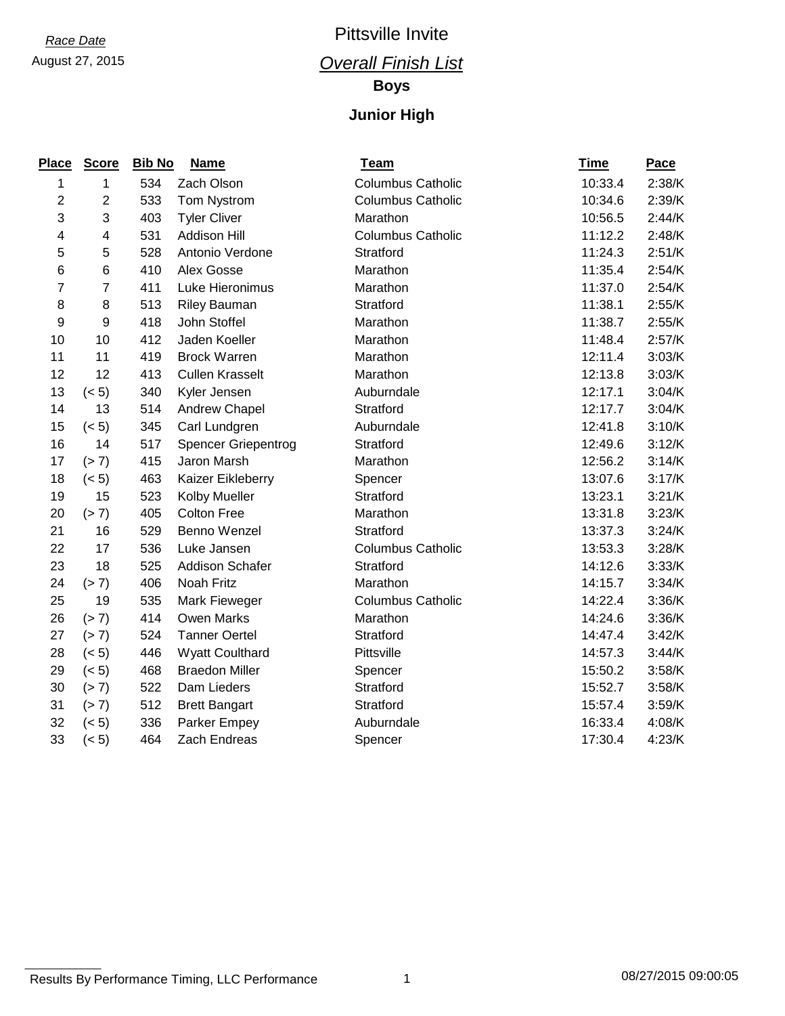### August 27, 2015 *Overall Finish List*

**Boys**

| <b>Place</b>   | <b>Score</b>            | <b>Bib No</b> | <b>Name</b>            | <b>Team</b>              | <b>Time</b> | Pace   |
|----------------|-------------------------|---------------|------------------------|--------------------------|-------------|--------|
| 1              | 1                       | 534           | Zach Olson             | <b>Columbus Catholic</b> | 10:33.4     | 2:38/K |
| 2              | 2                       | 533           | Tom Nystrom            | <b>Columbus Catholic</b> | 10:34.6     | 2:39/K |
| 3              | 3                       | 403           | <b>Tyler Cliver</b>    | Marathon                 | 10:56.5     | 2:44/K |
| 4              | $\overline{\mathbf{4}}$ | 531           | Addison Hill           | <b>Columbus Catholic</b> | 11:12.2     | 2:48/K |
| 5              | 5                       | 528           | Antonio Verdone        | Stratford                | 11:24.3     | 2:51/K |
| $\,6$          | 6                       | 410           | Alex Gosse             | Marathon                 | 11:35.4     | 2:54/K |
| $\overline{7}$ | $\overline{7}$          | 411           | Luke Hieronimus        | Marathon                 | 11:37.0     | 2:54/K |
| 8              | 8                       | 513           | <b>Riley Bauman</b>    | Stratford                | 11:38.1     | 2:55/K |
| 9              | 9                       | 418           | John Stoffel           | Marathon                 | 11:38.7     | 2:55/K |
| 10             | 10                      | 412           | Jaden Koeller          | Marathon                 | 11:48.4     | 2:57/K |
| 11             | 11                      | 419           | <b>Brock Warren</b>    | Marathon                 | 12:11.4     | 3:03/K |
| 12             | 12                      | 413           | <b>Cullen Krasselt</b> | Marathon                 | 12:13.8     | 3:03/K |
| 13             | (< 5)                   | 340           | Kyler Jensen           | Auburndale               | 12:17.1     | 3:04/K |
| 14             | 13                      | 514           | Andrew Chapel          | Stratford                | 12:17.7     | 3:04/K |
| 15             | (< 5)                   | 345           | Carl Lundgren          | Auburndale               | 12:41.8     | 3:10/K |
| 16             | 14                      | 517           | Spencer Griepentrog    | Stratford                | 12:49.6     | 3:12/K |
| 17             | (> 7)                   | 415           | Jaron Marsh            | Marathon                 | 12:56.2     | 3:14/K |
| 18             | (< 5)                   | 463           | Kaizer Eikleberry      | Spencer                  | 13:07.6     | 3:17/K |
| 19             | 15                      | 523           | Kolby Mueller          | Stratford                | 13:23.1     | 3:21/K |
| 20             | (> 7)                   | 405           | <b>Colton Free</b>     | Marathon                 | 13:31.8     | 3:23/K |
| 21             | 16                      | 529           | Benno Wenzel           | Stratford                | 13:37.3     | 3:24/K |
| 22             | 17                      | 536           | Luke Jansen            | <b>Columbus Catholic</b> | 13:53.3     | 3:28/K |
| 23             | 18                      | 525           | <b>Addison Schafer</b> | Stratford                | 14:12.6     | 3:33/K |
| 24             | (> 7)                   | 406           | Noah Fritz             | Marathon                 | 14:15.7     | 3:34/K |
| 25             | 19                      | 535           | Mark Fieweger          | <b>Columbus Catholic</b> | 14:22.4     | 3:36/K |
| 26             | (> 7)                   | 414           | <b>Owen Marks</b>      | Marathon                 | 14:24.6     | 3:36/K |
| 27             | (> 7)                   | 524           | <b>Tanner Oertel</b>   | Stratford                | 14:47.4     | 3:42/K |
| 28             | (< 5)                   | 446           | <b>Wyatt Coulthard</b> | Pittsville               | 14:57.3     | 3:44/K |
| 29             | (< 5)                   | 468           | <b>Braedon Miller</b>  | Spencer                  | 15:50.2     | 3:58/K |
| 30             | (> 7)                   | 522           | Dam Lieders            | Stratford                | 15:52.7     | 3:58/K |
| 31             | (> 7)                   | 512           | <b>Brett Bangart</b>   | Stratford                | 15:57.4     | 3:59/K |
| 32             | (< 5)                   | 336           | Parker Empey           | Auburndale               | 16:33.4     | 4:08/K |
| 33             | (< 5)                   | 464           | Zach Endreas           | Spencer                  | 17:30.4     | 4:23/K |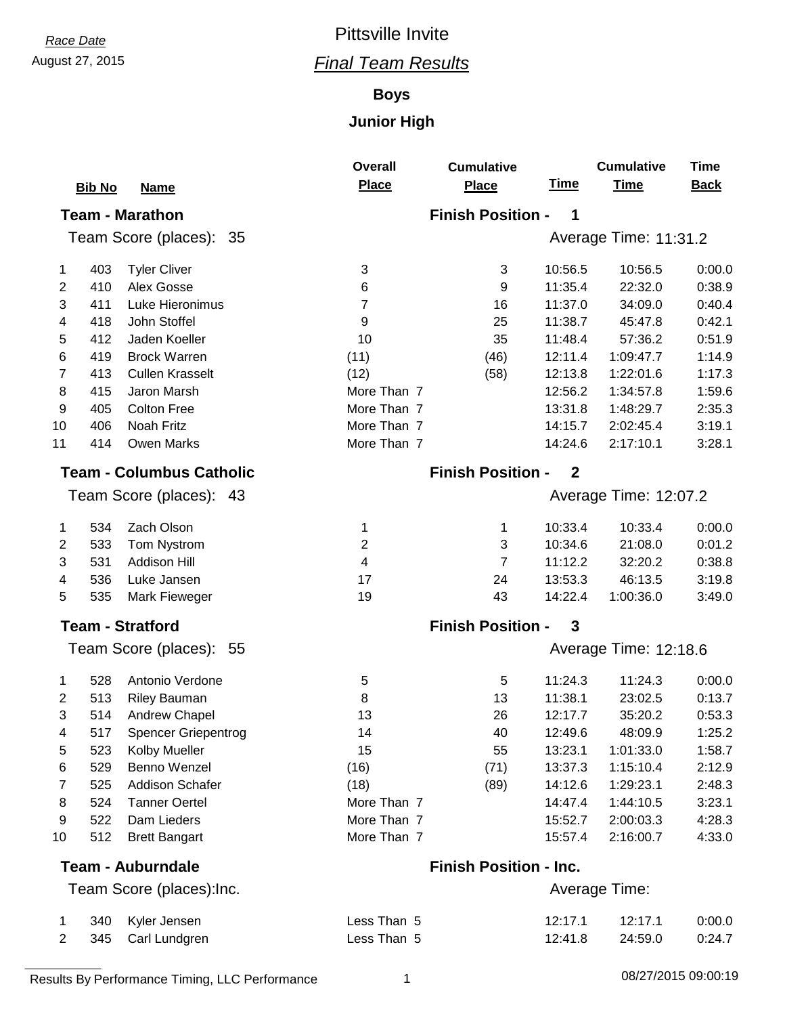## August 27, 2015 *Final Team Results Race Date* Pittsville Invite

#### **Boys**

|    |               |                                 | <b>Overall</b> | <b>Cumulative</b>             |              | <b>Cumulative</b>     | <b>Time</b> |  |  |
|----|---------------|---------------------------------|----------------|-------------------------------|--------------|-----------------------|-------------|--|--|
|    | <b>Bib No</b> | <b>Name</b>                     | <b>Place</b>   | <b>Place</b>                  | <u>Time</u>  | <b>Time</b>           | <b>Back</b> |  |  |
|    |               | <b>Team - Marathon</b>          |                | <b>Finish Position -</b>      | 1            |                       |             |  |  |
|    |               | Team Score (places): 35         |                |                               |              | Average Time: 11:31.2 |             |  |  |
| 1  | 403           | <b>Tyler Cliver</b>             | 3              | 3                             | 10:56.5      | 10:56.5               | 0:00.0      |  |  |
| 2  | 410           | Alex Gosse                      | 6              | 9                             | 11:35.4      | 22:32.0               | 0:38.9      |  |  |
| 3  | 411           | Luke Hieronimus                 | 7              | 16                            | 11:37.0      | 34:09.0               | 0:40.4      |  |  |
| 4  | 418           | John Stoffel                    | 9              | 25                            | 11:38.7      | 45:47.8               | 0:42.1      |  |  |
| 5  | 412           | Jaden Koeller                   | 10             | 35                            | 11:48.4      | 57:36.2               | 0:51.9      |  |  |
| 6  | 419           | <b>Brock Warren</b>             | (11)           | (46)                          | 12:11.4      | 1:09:47.7             | 1:14.9      |  |  |
| 7  | 413           | <b>Cullen Krasselt</b>          | (12)           | (58)                          | 12:13.8      | 1:22:01.6             | 1:17.3      |  |  |
| 8  | 415           | Jaron Marsh                     | More Than 7    |                               | 12:56.2      | 1:34:57.8             | 1:59.6      |  |  |
| 9  | 405           | <b>Colton Free</b>              | More Than 7    |                               | 13:31.8      | 1:48:29.7             | 2:35.3      |  |  |
| 10 | 406           | Noah Fritz                      | More Than 7    |                               | 14:15.7      | 2:02:45.4             | 3:19.1      |  |  |
| 11 | 414           | <b>Owen Marks</b>               | More Than 7    |                               | 14:24.6      | 2:17:10.1             | 3:28.1      |  |  |
|    |               | <b>Team - Columbus Catholic</b> |                | <b>Finish Position -</b>      | $\mathbf{2}$ |                       |             |  |  |
|    |               | Team Score (places): 43         |                |                               |              | Average Time: 12:07.2 |             |  |  |
| 1  | 534           | Zach Olson                      | 1              | 1                             | 10:33.4      | 10:33.4               | 0:00.0      |  |  |
| 2  | 533           | Tom Nystrom                     | 2              | 3                             | 10:34.6      | 21:08.0               | 0:01.2      |  |  |
| 3  | 531           | <b>Addison Hill</b>             | 4              | $\overline{7}$                | 11:12.2      | 32:20.2               | 0:38.8      |  |  |
| 4  | 536           | Luke Jansen                     | 17             | 24                            | 13:53.3      | 46:13.5               | 3:19.8      |  |  |
| 5  | 535           | Mark Fieweger                   | 19             | 43                            | 14:22.4      | 1:00:36.0             | 3:49.0      |  |  |
|    |               | <b>Team - Stratford</b>         |                | <b>Finish Position -</b>      | 3            |                       |             |  |  |
|    |               | Team Score (places): 55         |                | Average Time: 12:18.6         |              |                       |             |  |  |
| 1  | 528           | Antonio Verdone                 | 5              | 5                             | 11:24.3      | 11:24.3               | 0:00.0      |  |  |
| 2  | 513           | <b>Riley Bauman</b>             | 8              | 13                            | 11:38.1      | 23:02.5               | 0:13.7      |  |  |
| 3  | 514           | <b>Andrew Chapel</b>            | 13             | 26                            | 12:17.7      | 35:20.2               | 0:53.3      |  |  |
|    | 517           | <b>Spencer Griepentrog</b>      | 14             | 40                            | 12:49.6      | 48:09.9               | 1:25.2      |  |  |
| 5  | 523           | Kolby Mueller                   | 15             | 55                            | 13:23.1      | 1:01:33.0             | 1:58.7      |  |  |
| 6  | 529           | Benno Wenzel                    | (16)           | (71)                          | 13:37.3      | 1:15:10.4             | 2:12.9      |  |  |
| 7  | 525           | <b>Addison Schafer</b>          | (18)           | (89)                          | 14:12.6      | 1:29:23.1             | 2:48.3      |  |  |
| 8  | 524           | <b>Tanner Oertel</b>            | More Than 7    |                               | 14:47.4      | 1:44:10.5             | 3:23.1      |  |  |
| 9  | 522           | Dam Lieders                     | More Than 7    |                               | 15:52.7      | 2:00:03.3             | 4:28.3      |  |  |
| 10 | 512           | <b>Brett Bangart</b>            | More Than 7    |                               | 15:57.4      | 2:16:00.7             | 4:33.0      |  |  |
|    |               | <b>Team - Auburndale</b>        |                | <b>Finish Position - Inc.</b> |              |                       |             |  |  |
|    |               | Team Score (places): Inc.       |                |                               |              | Average Time:         |             |  |  |
| 1  | 340           | Kyler Jensen                    | Less Than 5    |                               | 12:17.1      | 12:17.1               | 0:00.0      |  |  |
| 2  | 345           | Carl Lundgren                   | Less Than 5    |                               | 12:41.8      | 24:59.0               | 0:24.7      |  |  |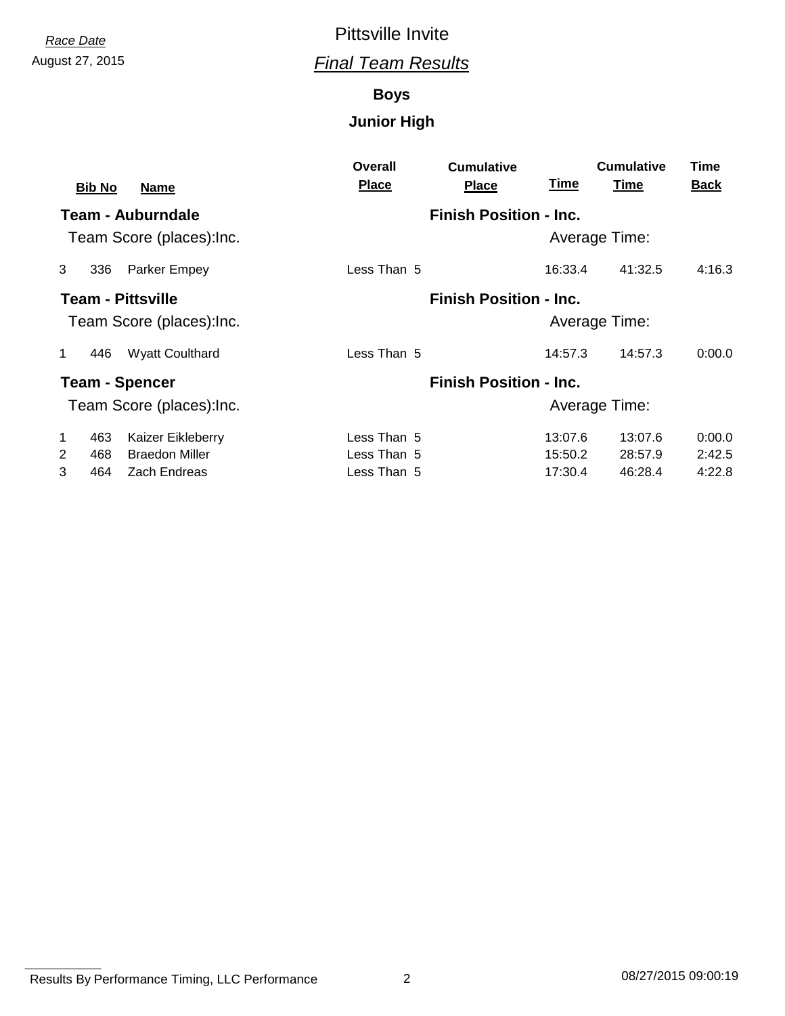## August 27, 2015 *Final Team Results Race Date* Pittsville Invite

#### **Boys**

|              |               |                           | Overall      | <b>Cumulative</b>             |         | <b>Cumulative</b> | Time        |
|--------------|---------------|---------------------------|--------------|-------------------------------|---------|-------------------|-------------|
|              | <b>Bib No</b> | <b>Name</b>               | <b>Place</b> | <b>Place</b>                  | Time    | <b>Time</b>       | <b>Back</b> |
|              |               | <b>Team - Auburndale</b>  |              | <b>Finish Position - Inc.</b> |         |                   |             |
|              |               | Team Score (places): Inc. |              |                               |         | Average Time:     |             |
| 3            | 336           | Parker Empey              | Less Than 5  |                               | 16:33.4 | 41:32.5           | 4:16.3      |
|              |               | <b>Team - Pittsville</b>  |              | <b>Finish Position - Inc.</b> |         |                   |             |
|              |               | Team Score (places): Inc. |              |                               |         | Average Time:     |             |
| 1            | 446           | <b>Wyatt Coulthard</b>    | Less Than 5  |                               | 14:57.3 | 14:57.3           | 0:00.0      |
|              |               | <b>Team - Spencer</b>     |              | <b>Finish Position - Inc.</b> |         |                   |             |
|              |               | Team Score (places): Inc. |              |                               |         | Average Time:     |             |
| $\mathbf{1}$ | 463           | Kaizer Eikleberry         | Less Than 5  |                               | 13:07.6 | 13:07.6           | 0:00.0      |
| 2            | 468           | <b>Braedon Miller</b>     | Less Than 5  |                               | 15:50.2 | 28:57.9           | 2:42.5      |
| 3            | 464           | Zach Endreas              | Less Than 5  |                               | 17:30.4 | 46:28.4           | 4:22.8      |

Results By Performance Timing, LLC Performance 2 2 08/27/2015 09:00:19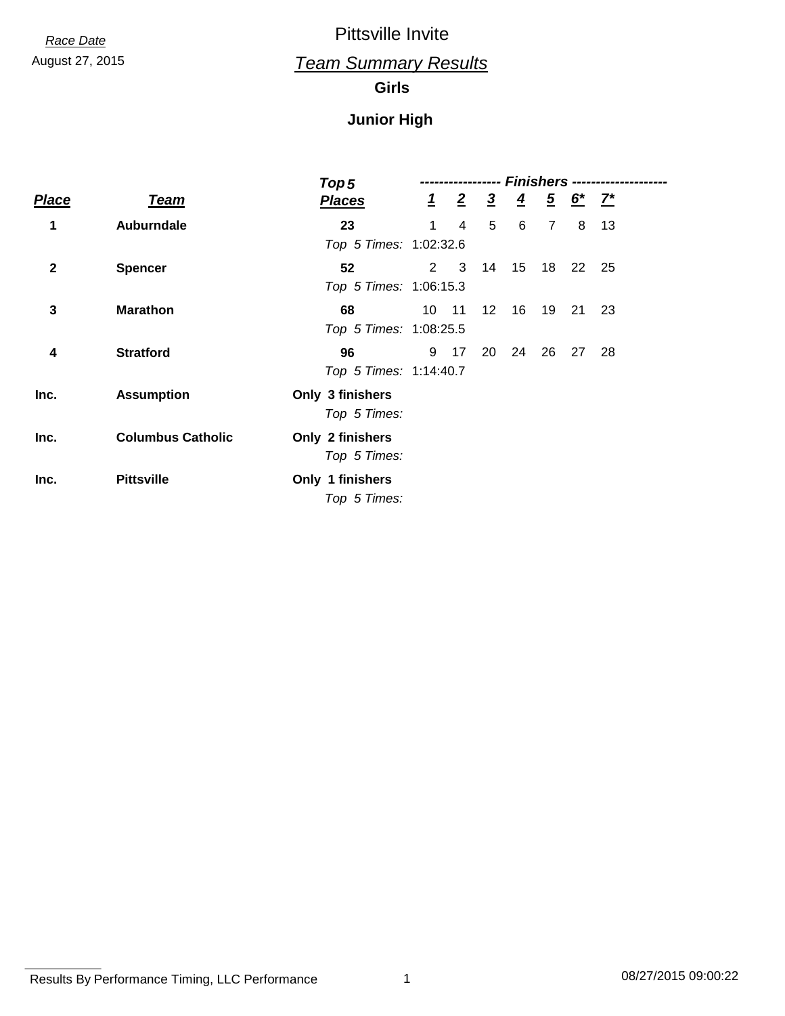### August 27, 2015 *Team Summary Results*

#### **Girls**

|              |                          | Top 5                            |                | <b>Finishers ----------------</b> |                 |               |                |                                           |    |  |
|--------------|--------------------------|----------------------------------|----------------|-----------------------------------|-----------------|---------------|----------------|-------------------------------------------|----|--|
| <b>Place</b> | <b>Team</b>              | <b>Places</b>                    | $\overline{1}$ | $\overline{2}$                    | $\frac{3}{2}$   | $\frac{4}{5}$ |                | $\frac{5}{2}$ $\frac{6}{1}$ $\frac{7}{1}$ |    |  |
| 1            | Auburndale               | 23<br>Top 5 Times: 1:02:32.6     | 1              | 4                                 | 5               | 6             | $\overline{7}$ | 8                                         | 13 |  |
| $\mathbf{2}$ | <b>Spencer</b>           | 52<br>Top 5 Times: 1:06:15.3     | $2^{\circ}$    | 3                                 | 14              | 15            | 18             | - 22                                      | 25 |  |
| 3            | <b>Marathon</b>          | 68<br>Top 5 Times: 1:08:25.5     | 10             | 11                                | 12 <sup>°</sup> | 16            | 19             | - 21                                      | 23 |  |
| 4            | <b>Stratford</b>         | 96<br>Top 5 Times: 1:14:40.7     |                | 9 17                              | 20              | 24            | 26             | 27                                        | 28 |  |
| Inc.         | <b>Assumption</b>        | Only 3 finishers<br>Top 5 Times: |                |                                   |                 |               |                |                                           |    |  |
| Inc.         | <b>Columbus Catholic</b> | Only 2 finishers<br>Top 5 Times: |                |                                   |                 |               |                |                                           |    |  |
| Inc.         | <b>Pittsville</b>        | Only 1 finishers<br>Top 5 Times: |                |                                   |                 |               |                |                                           |    |  |

Results By Performance Timing, LLC Performance 1 08/27/2015 09:00:22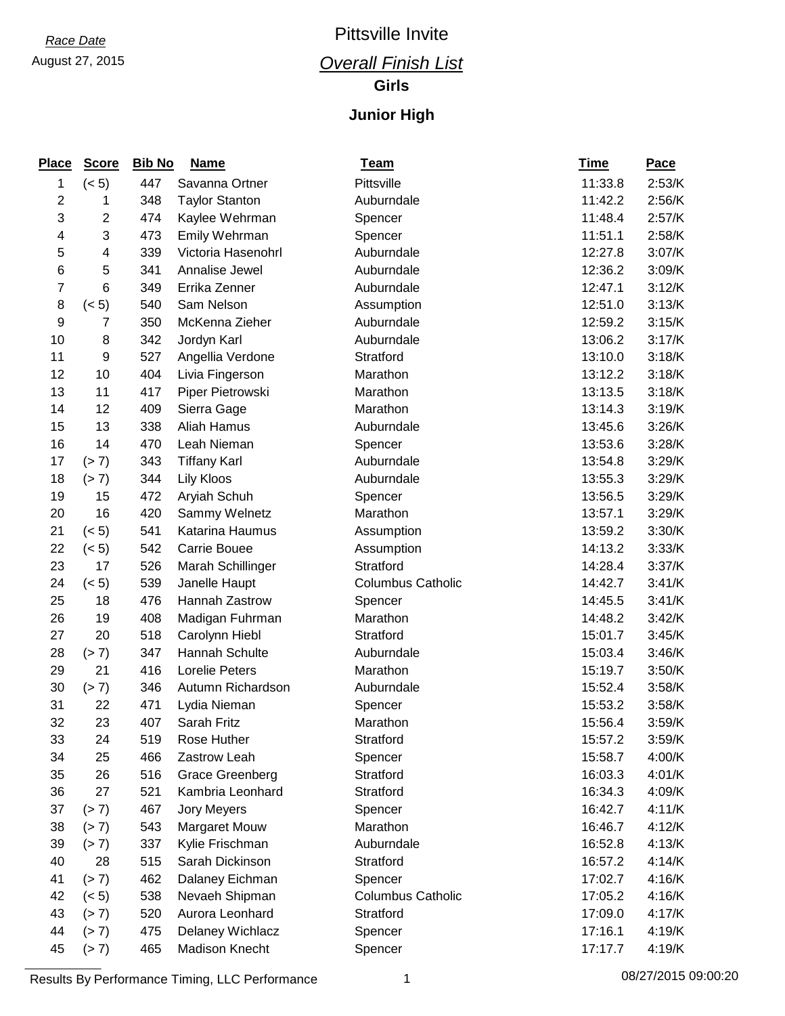### August 27, 2015 *Overall Finish List*

**Girls**

| <b>Place</b>   | <b>Score</b> | <b>Bib No</b> | <b>Name</b>           | <b>Team</b>              | <u>Time</u> | <b>Pace</b> |
|----------------|--------------|---------------|-----------------------|--------------------------|-------------|-------------|
| 1              | (< 5)        | 447           | Savanna Ortner        | Pittsville               | 11:33.8     | 2:53/K      |
| $\overline{c}$ | 1            | 348           | <b>Taylor Stanton</b> | Auburndale               | 11:42.2     | 2:56/K      |
| 3              | 2            | 474           | Kaylee Wehrman        | Spencer                  | 11:48.4     | 2:57/K      |
| 4              | 3            | 473           | Emily Wehrman         | Spencer                  | 11:51.1     | 2:58/K      |
| 5              | 4            | 339           | Victoria Hasenohrl    | Auburndale               | 12:27.8     | 3:07/K      |
| 6              | 5            | 341           | Annalise Jewel        | Auburndale               | 12:36.2     | 3:09/K      |
| $\overline{7}$ | 6            | 349           | Errika Zenner         | Auburndale               | 12:47.1     | 3:12/K      |
| 8              | (< 5)        | 540           | Sam Nelson            | Assumption               | 12:51.0     | 3:13/K      |
| 9              | 7            | 350           | McKenna Zieher        | Auburndale               | 12:59.2     | 3:15/K      |
| 10             | 8            | 342           | Jordyn Karl           | Auburndale               | 13:06.2     | 3:17/K      |
| 11             | 9            | 527           | Angellia Verdone      | Stratford                | 13:10.0     | 3:18/K      |
| 12             | 10           | 404           | Livia Fingerson       | Marathon                 | 13:12.2     | 3:18/K      |
| 13             | 11           | 417           | Piper Pietrowski      | Marathon                 | 13:13.5     | 3:18/K      |
| 14             | 12           | 409           | Sierra Gage           | Marathon                 | 13:14.3     | 3:19/K      |
| 15             | 13           | 338           | Aliah Hamus           | Auburndale               | 13:45.6     | 3:26/K      |
| 16             | 14           | 470           | Leah Nieman           | Spencer                  | 13:53.6     | 3:28/K      |
| 17             | (> 7)        | 343           | <b>Tiffany Karl</b>   | Auburndale               | 13:54.8     | 3:29/K      |
| 18             | (> 7)        | 344           | <b>Lily Kloos</b>     | Auburndale               | 13:55.3     | 3:29/K      |
| 19             | 15           | 472           | Aryiah Schuh          | Spencer                  | 13:56.5     | 3:29/K      |
| 20             | 16           | 420           | Sammy Welnetz         | Marathon                 | 13:57.1     | 3:29/K      |
| 21             | (< 5)        | 541           | Katarina Haumus       | Assumption               | 13:59.2     | 3:30/K      |
| 22             | (< 5)        | 542           | Carrie Bouee          | Assumption               | 14:13.2     | 3:33/K      |
| 23             | 17           | 526           | Marah Schillinger     | Stratford                | 14:28.4     | 3:37/K      |
| 24             | (< 5)        | 539           | Janelle Haupt         | <b>Columbus Catholic</b> | 14:42.7     | 3:41/K      |
| 25             | 18           | 476           | Hannah Zastrow        | Spencer                  | 14:45.5     | 3:41/K      |
| 26             | 19           | 408           | Madigan Fuhrman       | Marathon                 | 14:48.2     | 3:42/K      |
| 27             | 20           | 518           | Carolynn Hiebl        | Stratford                | 15:01.7     | 3:45/K      |
| 28             | (> 7)        | 347           | Hannah Schulte        | Auburndale               | 15:03.4     | 3:46/K      |
| 29             | 21           | 416           | <b>Lorelie Peters</b> | Marathon                 | 15:19.7     | 3:50/K      |
| 30             | (> 7)        | 346           | Autumn Richardson     | Auburndale               | 15:52.4     | 3:58/K      |
| 31             | 22           | 471           | Lydia Nieman          | Spencer                  | 15:53.2     | 3:58/K      |
| 32             | 23           | 407           | Sarah Fritz           | Marathon                 | 15:56.4     | 3:59/K      |
| 33             | 24           | 519           | Rose Huther           | Stratford                | 15:57.2     | 3:59/K      |
| 34             | 25           | 466           | Zastrow Leah          | Spencer                  | 15:58.7     | 4:00/K      |
| 35             | 26           | 516           | Grace Greenberg       | Stratford                | 16:03.3     | 4:01/K      |
| 36             | 27           | 521           | Kambria Leonhard      | Stratford                | 16:34.3     | 4:09/K      |
| 37             | (> 7)        | 467           | Jory Meyers           | Spencer                  | 16:42.7     | 4:11/K      |
| 38             | (> 7)        | 543           | <b>Margaret Mouw</b>  | Marathon                 | 16:46.7     | 4:12/K      |
| 39             | (> 7)        | 337           | Kylie Frischman       | Auburndale               | 16:52.8     | 4:13/K      |
| 40             | 28           | 515           | Sarah Dickinson       | Stratford                | 16:57.2     | 4:14/K      |
| 41             | (> 7)        | 462           | Dalaney Eichman       | Spencer                  | 17:02.7     | 4:16/K      |
| 42             | (< 5)        | 538           | Nevaeh Shipman        | <b>Columbus Catholic</b> | 17:05.2     | 4:16/K      |
| 43             | (> 7)        | 520           | Aurora Leonhard       | Stratford                | 17:09.0     | 4:17/K      |
| 44             | (> 7)        | 475           | Delaney Wichlacz      | Spencer                  | 17:16.1     | 4:19/K      |
| 45             | (> 7)        | 465           | Madison Knecht        | Spencer                  | 17:17.7     | 4:19/K      |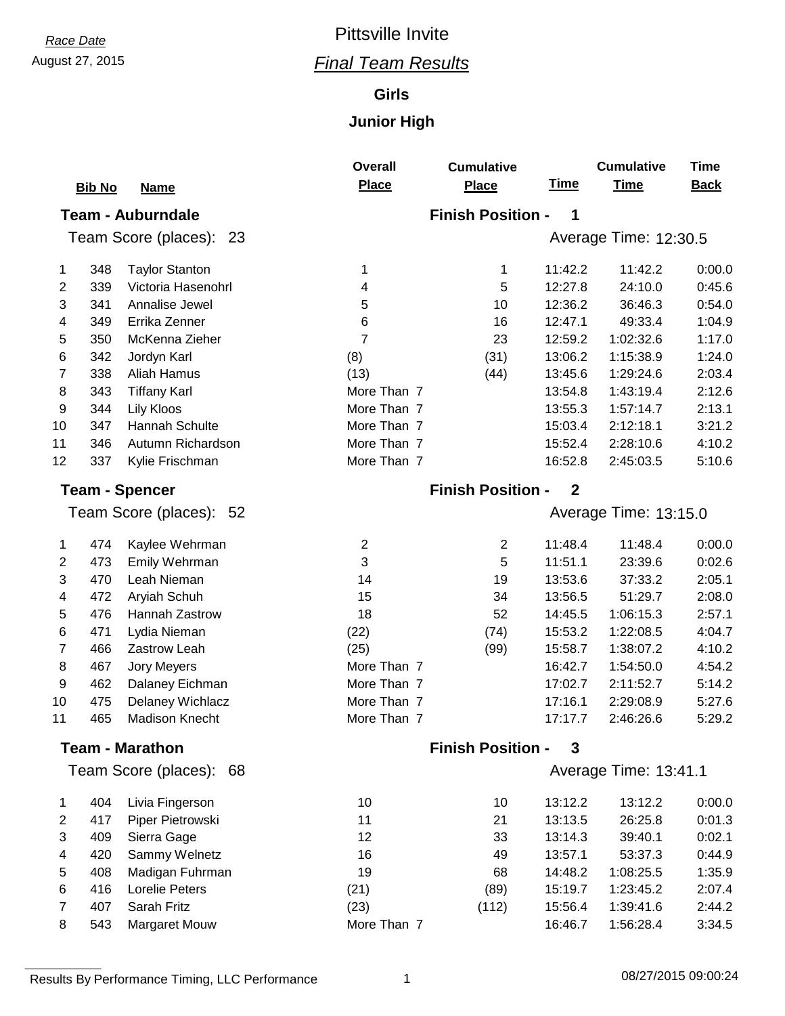#### **Girls**

|                       | <b>Bib No</b> | <b>Name</b>                | <b>Overall</b><br><b>Place</b> | <b>Cumulative</b><br><b>Place</b>       | <b>Time</b> | <b>Cumulative</b><br><b>Time</b> | <b>Time</b><br><b>Back</b> |  |  |  |  |
|-----------------------|---------------|----------------------------|--------------------------------|-----------------------------------------|-------------|----------------------------------|----------------------------|--|--|--|--|
|                       |               | <b>Team - Auburndale</b>   |                                | <b>Finish Position -</b><br>1           |             |                                  |                            |  |  |  |  |
|                       |               | Team Score (places):<br>23 |                                |                                         |             | Average Time: 12:30.5            |                            |  |  |  |  |
| 1                     | 348           | <b>Taylor Stanton</b>      | 1                              | 1                                       | 11:42.2     | 11:42.2                          | 0:00.0                     |  |  |  |  |
| 2                     | 339           | Victoria Hasenohrl         | 4                              | 5                                       | 12:27.8     | 24:10.0                          | 0:45.6                     |  |  |  |  |
| 3                     | 341           | Annalise Jewel             | 5                              | 10                                      | 12:36.2     | 36:46.3                          | 0:54.0                     |  |  |  |  |
| 4                     | 349           | Errika Zenner              | 6                              | 16                                      | 12:47.1     | 49:33.4                          | 1:04.9                     |  |  |  |  |
| 5                     | 350           | McKenna Zieher             | $\overline{7}$                 | 23                                      | 12:59.2     | 1:02:32.6                        | 1:17.0                     |  |  |  |  |
| 6                     | 342           | Jordyn Karl                | (8)                            | (31)                                    | 13:06.2     | 1:15:38.9                        | 1:24.0                     |  |  |  |  |
| 7                     | 338           | Aliah Hamus                | (13)                           | (44)                                    | 13:45.6     | 1:29:24.6                        | 2:03.4                     |  |  |  |  |
| 8                     | 343           | <b>Tiffany Karl</b>        | More Than 7                    |                                         | 13:54.8     | 1:43:19.4                        | 2:12.6                     |  |  |  |  |
| 9                     | 344           | <b>Lily Kloos</b>          | More Than 7                    |                                         | 13:55.3     | 1:57:14.7                        | 2:13.1                     |  |  |  |  |
| 10                    | 347           | Hannah Schulte             | More Than 7                    |                                         | 15:03.4     | 2:12:18.1                        | 3:21.2                     |  |  |  |  |
| 11                    | 346           | Autumn Richardson          | More Than 7                    |                                         | 15:52.4     | 2:28:10.6                        | 4:10.2                     |  |  |  |  |
| 12                    | 337           | Kylie Frischman            | More Than 7                    |                                         | 16:52.8     | 2:45:03.5                        | 5:10.6                     |  |  |  |  |
| <b>Team - Spencer</b> |               |                            |                                | <b>Finish Position -</b><br>$\mathbf 2$ |             |                                  |                            |  |  |  |  |
|                       |               | Team Score (places): 52    |                                | Average Time: 13:15.0                   |             |                                  |                            |  |  |  |  |
| 1                     | 474           | Kaylee Wehrman             | $\overline{c}$                 | $\boldsymbol{2}$                        | 11:48.4     | 11:48.4                          | 0:00.0                     |  |  |  |  |
| $\overline{2}$        | 473           | Emily Wehrman              | 3                              | 5                                       | 11:51.1     | 23:39.6                          | 0:02.6                     |  |  |  |  |
| 3                     | 470           | Leah Nieman                | 14                             | 19                                      | 13:53.6     | 37:33.2                          | 2:05.1                     |  |  |  |  |
| 4                     | 472           | Aryiah Schuh               | 15                             | 34                                      | 13:56.5     | 51:29.7                          | 2:08.0                     |  |  |  |  |
| 5                     | 476           | Hannah Zastrow             | 18                             | 52                                      | 14:45.5     | 1:06:15.3                        | 2:57.1                     |  |  |  |  |
| 6                     | 471           | Lydia Nieman               | (22)                           | (74)                                    | 15:53.2     | 1:22:08.5                        | 4:04.7                     |  |  |  |  |
| 7                     | 466           | Zastrow Leah               | (25)                           | (99)                                    | 15:58.7     | 1:38:07.2                        | 4:10.2                     |  |  |  |  |
| 8                     | 467           | <b>Jory Meyers</b>         | More Than 7                    |                                         | 16:42.7     | 1:54:50.0                        | 4:54.2                     |  |  |  |  |
| 9                     | 462           | Dalaney Eichman            | More Than 7                    |                                         | 17:02.7     | 2:11:52.7                        | 5:14.2                     |  |  |  |  |
| 10                    | 475           | Delaney Wichlacz           | More Than 7                    |                                         | 17:16.1     | 2:29:08.9                        | 5:27.6                     |  |  |  |  |
| 11                    | 465           | <b>Madison Knecht</b>      | More Than 7                    |                                         | 17:17.7     | 2:46:26.6                        | 5:29.2                     |  |  |  |  |
|                       |               | <b>Team - Marathon</b>     |                                | <b>Finish Position -</b>                | 3           |                                  |                            |  |  |  |  |
|                       |               | Team Score (places):<br>68 |                                |                                         |             | Average Time: 13:41.1            |                            |  |  |  |  |
| 1                     | 404           | Livia Fingerson            | 10                             | 10                                      | 13:12.2     | 13:12.2                          | 0:00.0                     |  |  |  |  |
| 2                     | 417           | Piper Pietrowski           | 11                             | 21                                      | 13:13.5     | 26:25.8                          | 0:01.3                     |  |  |  |  |
| 3                     | 409           | Sierra Gage                | 12                             | 33                                      | 13:14.3     | 39:40.1                          | 0:02.1                     |  |  |  |  |
| 4                     | 420           | Sammy Welnetz              | 16                             | 49                                      | 13:57.1     | 53:37.3                          | 0:44.9                     |  |  |  |  |
| 5                     | 408           | Madigan Fuhrman            | 19                             | 68                                      | 14:48.2     | 1:08:25.5                        | 1:35.9                     |  |  |  |  |
| 6                     | 416           | <b>Lorelie Peters</b>      | (21)                           | (89)                                    | 15:19.7     | 1:23:45.2                        | 2:07.4                     |  |  |  |  |
| 7                     | 407           | Sarah Fritz                | (23)                           | (112)                                   | 15:56.4     | 1:39:41.6                        | 2:44.2                     |  |  |  |  |
| 8                     | 543           | Margaret Mouw              | More Than 7                    |                                         | 16:46.7     | 1:56:28.4                        | 3:34.5                     |  |  |  |  |